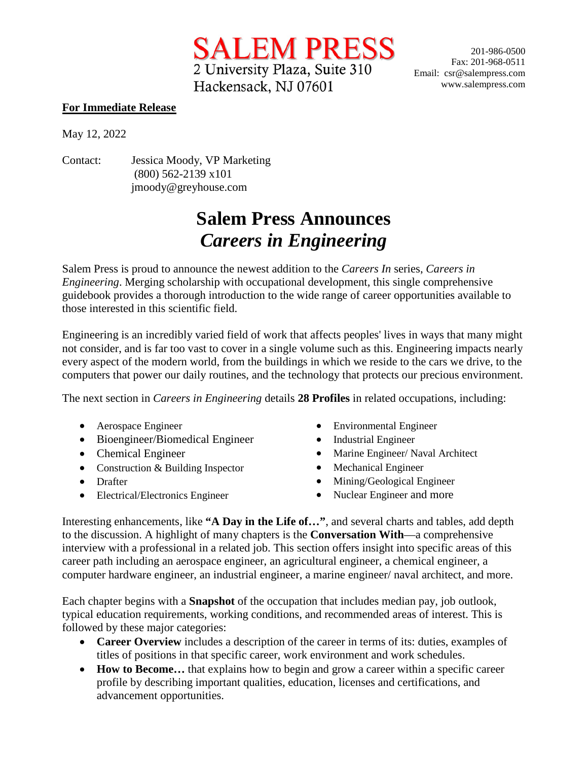2 University Plaza, Suite 310 Hackensack, NJ 07601

SALEM PRESS 201-986-0500 Fax: 201-968-0511 Email: csr@salempress.com www.salempress.com

## **For Immediate Release**

May 12, 2022

Contact: Jessica Moody, VP Marketing (800) 562-2139 x101 jmoody@greyhouse.com

## **Salem Press Announces** *Careers in Engineering*

Salem Press is proud to announce the newest addition to the *Careers In* series, *Careers in Engineering*. Merging scholarship with occupational development, this single comprehensive guidebook provides a thorough introduction to the wide range of career opportunities available to those interested in this scientific field.

Engineering is an incredibly varied field of work that affects peoples' lives in ways that many might not consider, and is far too vast to cover in a single volume such as this. Engineering impacts nearly every aspect of the modern world, from the buildings in which we reside to the cars we drive, to the computers that power our daily routines, and the technology that protects our precious environment.

The next section in *Careers in Engineering* details **28 Profiles** in related occupations, including:

- Aerospace Engineer
- Bioengineer/Biomedical Engineer
- Chemical Engineer
- Construction & Building Inspector
- Drafter
- Electrical/Electronics Engineer
- Environmental Engineer
- Industrial Engineer
- Marine Engineer/ Naval Architect
- Mechanical Engineer
- Mining/Geological Engineer
- Nuclear Engineer and more

Interesting enhancements, like **"A Day in the Life of…"**, and several charts and tables, add depth to the discussion. A highlight of many chapters is the **Conversation With**—a comprehensive interview with a professional in a related job. This section offers insight into specific areas of this career path including an aerospace engineer, an agricultural engineer, a chemical engineer, a computer hardware engineer, an industrial engineer, a marine engineer/ naval architect, and more.

Each chapter begins with a **Snapshot** of the occupation that includes median pay, job outlook, typical education requirements, working conditions, and recommended areas of interest. This is followed by these major categories:

- **Career Overview** includes a description of the career in terms of its: duties, examples of titles of positions in that specific career, work environment and work schedules.
- **How to Become...** that explains how to begin and grow a career within a specific career profile by describing important qualities, education, licenses and certifications, and advancement opportunities.